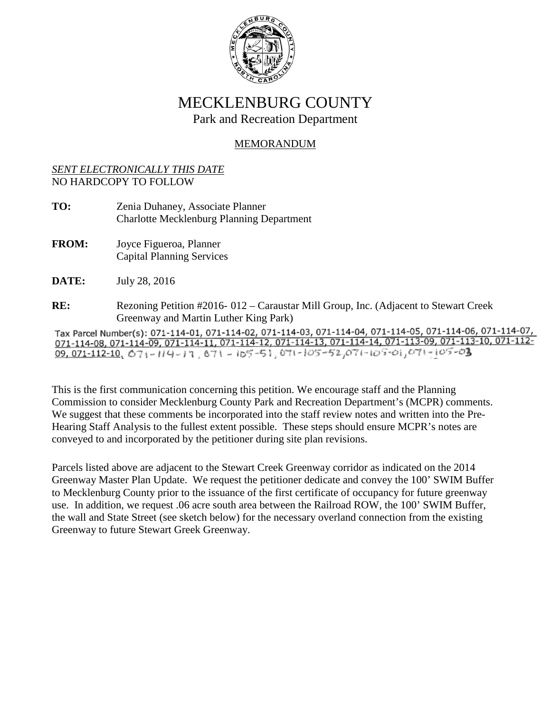

## MECKLENBURG COUNTY Park and Recreation Department

## MEMORANDUM

## *SENT ELECTRONICALLY THIS DATE* NO HARDCOPY TO FOLLOW

- **TO:** Zenia Duhaney, Associate Planner Charlotte Mecklenburg Planning Department
- **FROM:** Joyce Figueroa, Planner Capital Planning Services
- **DATE:** July 28, 2016
- **RE:** Rezoning Petition #2016- 012 Caraustar Mill Group, Inc. (Adjacent to Stewart Creek

Greenway and Martin Luther King Park)<br>Tax Parcel Number(s): 071-114-01, 071-114-02, 071-114-03, 071-114-04, 071-114-05, 071-114-06, 071-114-07,  $\frac{071-114-08}{071-112-10}$ ,  $\frac{071-114-09}{071-114-11}$ ,  $\frac{071-114-12}{071-114-12}$ ,  $\frac{071-114-13}{071-114-14}$ ,  $\frac{071-113-09}{071-113-10}$ ,  $\frac{071-112-10}{071-112-10}$ ,  $\frac{071-114-09}{071-114-11}$ ,  $\frac{071-114-11}{07-$ 

This is the first communication concerning this petition. We encourage staff and the Planning Commission to consider Mecklenburg County Park and Recreation Department's (MCPR) comments. We suggest that these comments be incorporated into the staff review notes and written into the Pre-Hearing Staff Analysis to the fullest extent possible. These steps should ensure MCPR's notes are conveyed to and incorporated by the petitioner during site plan revisions.

Parcels listed above are adjacent to the Stewart Creek Greenway corridor as indicated on the 2014 Greenway Master Plan Update. We request the petitioner dedicate and convey the 100' SWIM Buffer to Mecklenburg County prior to the issuance of the first certificate of occupancy for future greenway use. In addition, we request .06 acre south area between the Railroad ROW, the 100' SWIM Buffer, the wall and State Street (see sketch below) for the necessary overland connection from the existing Greenway to future Stewart Greek Greenway.